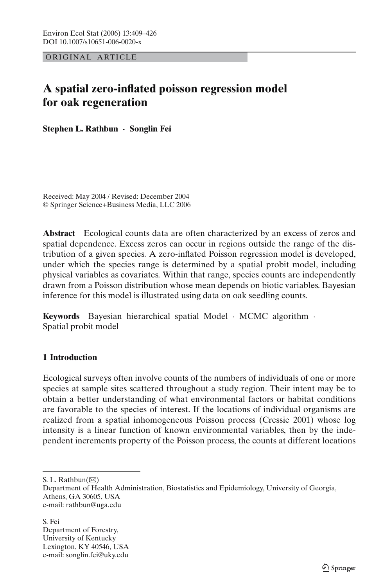ORIGINAL ARTICLE

# **A spatial zero-inflated poisson regression model for oak regeneration**

**Stephen L. Rathbun · Songlin Fei**

Received: May 2004 / Revised: December 2004 © Springer Science+Business Media, LLC 2006

**Abstract** Ecological counts data are often characterized by an excess of zeros and spatial dependence. Excess zeros can occur in regions outside the range of the distribution of a given species. A zero-inflated Poisson regression model is developed, under which the species range is determined by a spatial probit model, including physical variables as covariates. Within that range, species counts are independently drawn from a Poisson distribution whose mean depends on biotic variables. Bayesian inference for this model is illustrated using data on oak seedling counts.

**Keywords** Bayesian hierarchical spatial Model · MCMC algorithm · Spatial probit model

# **1 Introduction**

Ecological surveys often involve counts of the numbers of individuals of one or more species at sample sites scattered throughout a study region. Their intent may be to obtain a better understanding of what environmental factors or habitat conditions are favorable to the species of interest. If the locations of individual organisms are realized from a spatial inhomogeneous Poisson process (Cressie 2001) whose log intensity is a linear function of known environmental variables, then by the independent increments property of the Poisson process, the counts at different locations

S. L. Rathbun( $\boxtimes$ )

S. Fei Department of Forestry, University of Kentucky Lexington, KY 40546, USA e-mail: songlin.fei@uky.edu

Department of Health Administration, Biostatistics and Epidemiology, University of Georgia, Athens, GA 30605, USA e-mail: rathbun@uga.edu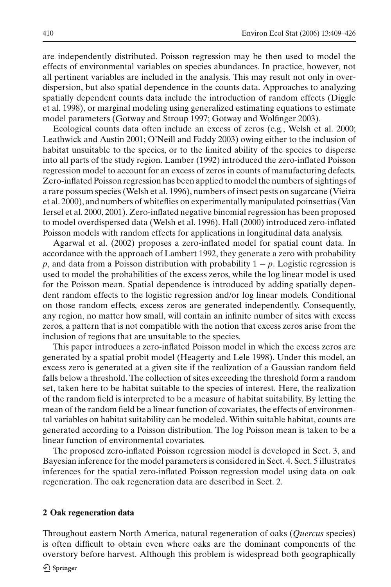are independently distributed. Poisson regression may be then used to model the effects of environmental variables on species abundances. In practice, however, not all pertinent variables are included in the analysis. This may result not only in overdispersion, but also spatial dependence in the counts data. Approaches to analyzing spatially dependent counts data include the introduction of random effects (Diggle et al. 1998), or marginal modeling using generalized estimating equations to estimate model parameters (Gotway and Stroup 1997; Gotway and Wolfinger 2003).

Ecological counts data often include an excess of zeros (e.g., Welsh et al. 2000; Leathwick and Austin 2001; O'Neill and Faddy 2003) owing either to the inclusion of habitat unsuitable to the species, or to the limited ability of the species to disperse into all parts of the study region. Lamber (1992) introduced the zero-inflated Poisson regression model to account for an excess of zeros in counts of manufacturing defects. Zero-inflated Poisson regression has been applied to model the numbers of sightings of a rare possum species (Welsh et al. 1996), numbers of insect pests on sugarcane (Vieira et al. 2000), and numbers of whiteflies on experimentally manipulated poinsettias (Van Iersel et al. 2000, 2001). Zero-inflated negative binomial regression has been proposed to model overdispersed data (Welsh et al. 1996). Hall (2000) introduced zero-inflated Poisson models with random effects for applications in longitudinal data analysis.

Agarwal et al. (2002) proposes a zero-inflated model for spatial count data. In accordance with the approach of Lambert 1992, they generate a zero with probability *p*, and data from a Poisson distribution with probability 1 − *p*. Logistic regression is used to model the probabilities of the excess zeros, while the log linear model is used for the Poisson mean. Spatial dependence is introduced by adding spatially dependent random effects to the logistic regression and/or log linear models. Conditional on those random effects, excess zeros are generated independently. Consequently, any region, no matter how small, will contain an infinite number of sites with excess zeros, a pattern that is not compatible with the notion that excess zeros arise from the inclusion of regions that are unsuitable to the species.

This paper introduces a zero-inflated Poisson model in which the excess zeros are generated by a spatial probit model (Heagerty and Lele 1998). Under this model, an excess zero is generated at a given site if the realization of a Gaussian random field falls below a threshold. The collection of sites exceeding the threshold form a random set, taken here to be habitat suitable to the species of interest. Here, the realization of the random field is interpreted to be a measure of habitat suitability. By letting the mean of the random field be a linear function of covariates, the effects of environmental variables on habitat suitability can be modeled. Within suitable habitat, counts are generated according to a Poisson distribution. The log Poisson mean is taken to be a linear function of environmental covariates.

The proposed zero-inflated Poisson regression model is developed in Sect. 3, and Bayesian inference for the model parameters is considered in Sect. 4. Sect. 5 illustrates inferences for the spatial zero-inflated Poisson regression model using data on oak regeneration. The oak regeneration data are described in Sect. 2.

#### **2 Oak regeneration data**

Throughout eastern North America, natural regeneration of oaks (*Quercus* species) is often difficult to obtain even where oaks are the dominant components of the overstory before harvest. Although this problem is widespread both geographically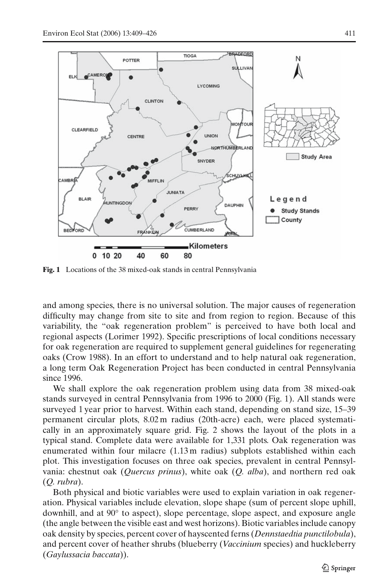

**Fig. 1** Locations of the 38 mixed-oak stands in central Pennsylvania

and among species, there is no universal solution. The major causes of regeneration difficulty may change from site to site and from region to region. Because of this variability, the "oak regeneration problem" is perceived to have both local and regional aspects (Lorimer 1992). Specific prescriptions of local conditions necessary for oak regeneration are required to supplement general guidelines for regenerating oaks (Crow 1988). In an effort to understand and to help natural oak regeneration, a long term Oak Regeneration Project has been conducted in central Pennsylvania since 1996.

We shall explore the oak regeneration problem using data from 38 mixed-oak stands surveyed in central Pennsylvania from 1996 to 2000 (Fig. 1). All stands were surveyed 1 year prior to harvest. Within each stand, depending on stand size, 15–39 permanent circular plots, 8.02 m radius (20th-acre) each, were placed systematically in an approximately square grid. Fig. 2 shows the layout of the plots in a typical stand. Complete data were available for 1,331 plots. Oak regeneration was enumerated within four milacre (1.13 m radius) subplots established within each plot. This investigation focuses on three oak species, prevalent in central Pennsylvania: chestnut oak (*Quercus prinus*), white oak (*Q. alba*), and northern red oak (*Q. rubra*).

Both physical and biotic variables were used to explain variation in oak regeneration. Physical variables include elevation, slope shape (sum of percent slope uphill, downhill, and at 90◦ to aspect), slope percentage, slope aspect, and exposure angle (the angle between the visible east and west horizons). Biotic variables include canopy oak density by species, percent cover of hayscented ferns (*Dennstaedtia punctilobula*), and percent cover of heather shrubs (blueberry (*Vaccinium* species) and huckleberry (*Gaylussacia baccata*)).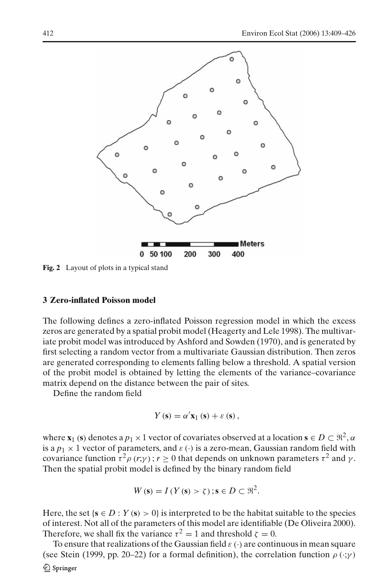

**Fig. 2** Layout of plots in a typical stand

## **3 Zero-inflated Poisson model**

The following defines a zero-inflated Poisson regression model in which the excess zeros are generated by a spatial probit model (Heagerty and Lele 1998). The multivariate probit model was introduced by Ashford and Sowden (1970), and is generated by first selecting a random vector from a multivariate Gaussian distribution. Then zeros are generated corresponding to elements falling below a threshold. A spatial version of the probit model is obtained by letting the elements of the variance–covariance matrix depend on the distance between the pair of sites.

Define the random field

$$
Y(\mathbf{s}) = \alpha' \mathbf{x}_1(\mathbf{s}) + \varepsilon(\mathbf{s}),
$$

where  $\mathbf{x}_1$  (s) denotes a  $p_1 \times 1$  vector of covariates observed at a location  $\mathbf{s} \in D \subset \mathbb{R}^2, \alpha$ is a  $p_1 \times 1$  vector of parameters, and  $\varepsilon(\cdot)$  is a zero-mean, Gaussian random field with covariance function  $\tau^2 \rho(r; \gamma)$ ;  $r \ge 0$  that depends on unknown parameters  $\tau^2$  and  $\gamma$ . Then the spatial probit model is defined by the binary random field

$$
W(\mathbf{s}) = I(Y(\mathbf{s}) > \zeta) \; ; \mathbf{s} \in D \subset \mathbb{R}^2.
$$

Here, the set { $\mathbf{s} \in D$  :  $Y(\mathbf{s}) > 0$ } is interpreted to be the habitat suitable to the species of interest. Not all of the parameters of this model are identifiable (De Oliveira 2000). Therefore, we shall fix the variance  $\tau^2 = 1$  and threshold  $\zeta = 0$ .

To ensure that realizations of the Gaussian field  $\varepsilon(\cdot)$  are continuous in mean square (see Stein (1999, pp. 20–22) for a formal definition), the correlation function  $\rho(\cdot;\gamma)$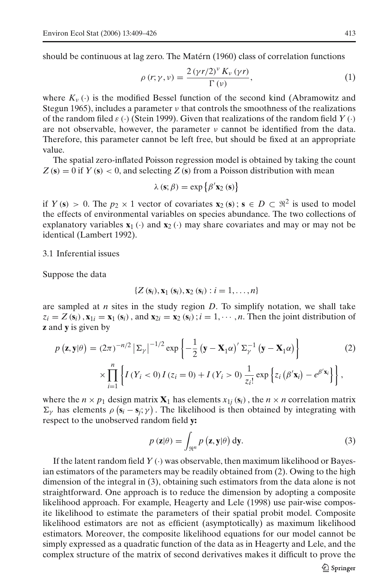should be continuous at lag zero. The Matérn (1960) class of correlation functions

$$
\rho(r;\gamma,\nu) = \frac{2\left(\gamma r/2\right)^{\nu} K_{\nu}\left(\gamma r\right)}{\Gamma\left(\nu\right)},\tag{1}
$$

where  $K_v(\cdot)$  is the modified Bessel function of the second kind (Abramowitz and Stegun 1965), includes a parameter  $\nu$  that controls the smoothness of the realizations of the random filed  $\varepsilon$  (·) (Stein 1999). Given that realizations of the random field *Y* (·) are not observable, however, the parameter  $\nu$  cannot be identified from the data. Therefore, this parameter cannot be left free, but should be fixed at an appropriate value.

The spatial zero-inflated Poisson regression model is obtained by taking the count  $Z(s) = 0$  if  $Y(s) < 0$ , and selecting  $Z(s)$  from a Poisson distribution with mean

$$
\lambda(\mathbf{s}; \beta) = \exp \{ \beta' \mathbf{x}_2(\mathbf{s}) \}
$$

if  $Y(s) > 0$ . The  $p_2 \times 1$  vector of covariates  $\mathbf{x}_2(s)$ ;  $s \in D \subset \mathbb{R}^2$  is used to model the effects of environmental variables on species abundance. The two collections of explanatory variables  $\mathbf{x}_1(\cdot)$  and  $\mathbf{x}_2(\cdot)$  may share covariates and may or may not be identical (Lambert 1992).

3.1 Inferential issues

Suppose the data

$$
\{Z(\mathbf{s}_i), \mathbf{x}_1(\mathbf{s}_i), \mathbf{x}_2(\mathbf{s}_i): i=1,\ldots,n\}
$$

are sampled at *n* sites in the study region *D*. To simplify notation, we shall take  $z_i = Z(\mathbf{s}_i)$ ,  $\mathbf{x}_{1i} = \mathbf{x}_1 (\mathbf{s}_i)$ , and  $\mathbf{x}_{2i} = \mathbf{x}_2 (\mathbf{s}_i)$ ;  $i = 1, \dots, n$ . Then the joint distribution of **z** and **y** is given by

$$
p\left(\mathbf{z}, \mathbf{y} | \theta\right) = (2\pi)^{-n/2} \left| \Sigma_{\gamma} \right|^{-1/2} \exp\left\{-\frac{1}{2} \left(\mathbf{y} - \mathbf{X}_{1} \alpha\right)^{\prime} \Sigma_{\gamma}^{-1} \left(\mathbf{y} - \mathbf{X}_{1} \alpha\right) \right\}
$$
  
 
$$
\times \prod_{i=1}^{n} \left\{ I(Y_{i} < 0) I(z_{i} = 0) + I(Y_{i} > 0) \frac{1}{z_{i}!} \exp\left\{ z_{i} \left(\beta^{\prime} \mathbf{x}_{i}\right) - e^{\beta^{\prime} \mathbf{x}_{i}} \right\} \right\},
$$
 (2)

where the  $n \times p_1$  design matrix  $\mathbf{X}_1$  has elements  $x_{1i}$  ( $\mathbf{s}_i$ ), the  $n \times n$  correlation matrix  $\Sigma_{\gamma}$  has elements  $\rho$  ( $s_i - s_j$ ;  $\gamma$ ). The likelihood is then obtained by integrating with respect to the unobserved random field **y:**

$$
p(\mathbf{z}|\theta) = \int_{\mathfrak{R}^n} p(\mathbf{z}, \mathbf{y}|\theta) \, \mathrm{d}\mathbf{y}.\tag{3}
$$

If the latent random field  $Y(\cdot)$  was observable, then maximum likelihood or Bayesian estimators of the parameters may be readily obtained from (2). Owing to the high dimension of the integral in (3), obtaining such estimators from the data alone is not straightforward. One approach is to reduce the dimension by adopting a composite likelihood approach. For example, Heagerty and Lele (1998) use pair-wise composite likelihood to estimate the parameters of their spatial probit model. Composite likelihood estimators are not as efficient (asymptotically) as maximum likelihood estimators. Moreover, the composite likelihood equations for our model cannot be simply expressed as a quadratic function of the data as in Heagerty and Lele, and the complex structure of the matrix of second derivatives makes it difficult to prove the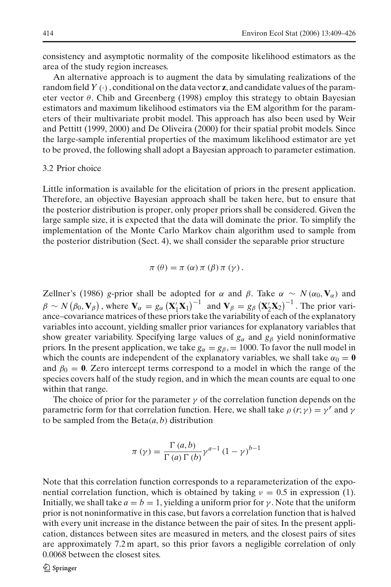consistency and asymptotic normality of the composite likelihood estimators as the area of the study region increases.

An alternative approach is to augment the data by simulating realizations of the random field  $Y(\cdot)$ , conditional on the data vector **z**, and candidate values of the parameter vector  $\theta$ . Chib and Greenberg (1998) employ this strategy to obtain Bayesian estimators and maximum likelihood estimators via the EM algorithm for the parameters of their multivariate probit model. This approach has also been used by Weir and Pettitt (1999, 2000) and De Oliveira (2000) for their spatial probit models. Since the large-sample inferential properties of the maximum likelihood estimator are yet to be proved, the following shall adopt a Bayesian approach to parameter estimation.

#### 3.2 Prior choice

Little information is available for the elicitation of priors in the present application. Therefore, an objective Bayesian approach shall be taken here, but to ensure that the posterior distribution is proper, only proper priors shall be considered. Given the large sample size, it is expected that the data will dominate the prior. To simplify the implementation of the Monte Carlo Markov chain algorithm used to sample from the posterior distribution (Sect. 4), we shall consider the separable prior structure

$$
\pi(\theta) = \pi(\alpha) \pi(\beta) \pi(\gamma).
$$

Zellner's (1986) *g*-prior shall be adopted for  $\alpha$  and  $\beta$ . Take  $\alpha \sim N(\alpha_0, \mathbf{V}_\alpha)$  and  $\beta \sim N(\beta_0, \mathbf{V}_\beta)$ , where  $\mathbf{V}_\alpha = g_\alpha (\mathbf{X}_1' \mathbf{X}_1)^{-1}$  and  $\mathbf{V}_\beta = g_\beta (\mathbf{X}_2' \mathbf{X}_2)^{-1}$ . The prior variance–covariance matrices of these priors take the variability of each of the explanatory variables into account, yielding smaller prior variances for explanatory variables that show greater variability. Specifying large values of  $g_\alpha$  and  $g_\beta$  yield noninformative priors. In the present application, we take  $g_\alpha = g_\beta = 1000$ . To favor the null model in which the counts are independent of the explanatory variables, we shall take  $\alpha_0 = \mathbf{0}$ and  $\beta_0 = 0$ . Zero intercept terms correspond to a model in which the range of the species covers half of the study region, and in which the mean counts are equal to one within that range.

The choice of prior for the parameter  $\gamma$  of the correlation function depends on the parametric form for that correlation function. Here, we shall take  $\rho(r; \gamma) = \gamma^r$  and  $\gamma$ to be sampled from the  $Beta(a, b)$  distribution

$$
\pi(\gamma) = \frac{\Gamma(a, b)}{\Gamma(a) \Gamma(b)} \gamma^{a-1} (1 - \gamma)^{b-1}
$$

Note that this correlation function corresponds to a reparameterization of the exponential correlation function, which is obtained by taking  $\nu = 0.5$  in expression (1). Initially, we shall take  $a = b = 1$ , yielding a uniform prior for  $\gamma$ . Note that the uniform prior is not noninformative in this case, but favors a correlation function that is halved with every unit increase in the distance between the pair of sites. In the present application, distances between sites are measured in meters, and the closest pairs of sites are approximately 7.2 m apart, so this prior favors a negligible correlation of only 0.0068 between the closest sites.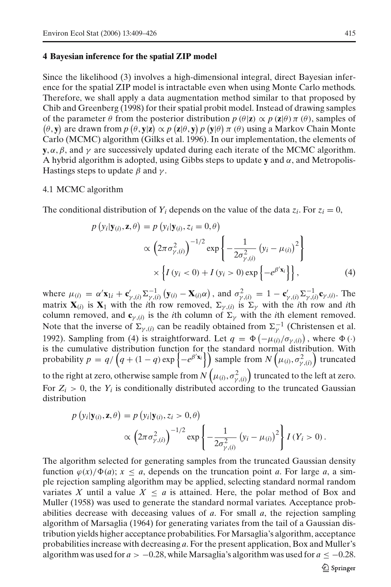#### **4 Bayesian inference for the spatial ZIP model**

Since the likelihood (3) involves a high-dimensional integral, direct Bayesian inference for the spatial ZIP model is intractable even when using Monte Carlo methods. Therefore, we shall apply a data augmentation method similar to that proposed by Chib and Greenberg (1998) for their spatial probit model. Instead of drawing samples of the parameter  $\theta$  from the posterior distribution  $p(\theta|\mathbf{z}) \propto p(\mathbf{z}|\theta) \pi(\theta)$ , samples of  $(\theta, \mathbf{y})$  are drawn from  $p(\theta, \mathbf{y} | \mathbf{z}) \propto p(\mathbf{z} | \theta, \mathbf{y}) p(\mathbf{y} | \theta) \pi(\theta)$  using a Markov Chain Monte Carlo (MCMC) algorithm (Gilks et al. 1996). In our implementation, the elements of **y**,  $\alpha$ ,  $\beta$ , and  $\gamma$  are successively updated during each iterate of the MCMC algorithm. A hybrid algorithm is adopted, using Gibbs steps to update **y** and  $\alpha$ , and Metropolis-Hastings steps to update  $\beta$  and  $\gamma$ .

#### 4.1 MCMC algorithm

The conditional distribution of  $Y_i$  depends on the value of the data  $z_i$ . For  $z_i = 0$ ,

$$
p(y_i|\mathbf{y}_{(i)}, \mathbf{z}, \theta) = p(y_i|\mathbf{y}_{(i)}, z_i = 0, \theta)
$$

$$
\propto \left(2\pi\sigma_{\gamma,(i)}^2\right)^{-1/2} \exp\left\{-\frac{1}{2\sigma_{\gamma,(i)}^2} (y_i - \mu_{(i)})^2\right\}
$$

$$
\times \left\{I(y_i < 0) + I(y_i > 0) \exp\left\{-e^{\beta' \mathbf{x}_i}\right\}\right\},
$$
(4)

where  $\mu_{(i)} = \alpha' \mathbf{x}_{1i} + \mathbf{c}'_{\gamma,(i)} \Sigma^{-1}_{\gamma,(i)} (\mathbf{y}_{(i)} - \mathbf{X}_{(i)} \alpha)$ , and  $\sigma^2_{\gamma,(i)} = 1 - \mathbf{c}'_{\gamma,(i)} \Sigma^{-1}_{\gamma,(i)} \mathbf{c}_{\gamma,(i)}$ . The matrix  $\mathbf{X}_{(i)}$  is  $\mathbf{X}_1$  with the *i*th row removed,  $\Sigma_{\gamma,(i)}$  is  $\Sigma_{\gamma}$  with the *i*th row and *i*th column removed, and  $\mathbf{c}_{\gamma,(i)}$  is the *i*th column of  $\Sigma_{\gamma}$  with the *i*th element removed. Note that the inverse of  $\Sigma_{\gamma,(i)}$  can be readily obtained from  $\Sigma_{\gamma}^{-1}$  (Christensen et al. 1992). Sampling from (4) is straightforward. Let  $q = \Phi(-\mu_{(i)}/\sigma_{\gamma,(i)})$ , where  $\Phi(\cdot)$ is the cumulative distribution function for the standard normal distribution. With probability  $p = q/\left(q + (1 - q) \exp\left\{-e^{\beta' \mathbf{x}_i}\right\}\right)$  sample from  $N\left(\mu_{(i)}, \sigma^2_{\gamma,(i)}\right)$  truncated to the right at zero, otherwise sample from  $N\left(\mu_{(i)}, \sigma^2_{\gamma, (i)}\right)$  truncated to the left at zero. For  $Z_i > 0$ , the  $Y_i$  is conditionally distributed according to the truncated Gaussian

$$
distribution
$$

$$
p(y_i|\mathbf{y}_{(i)}, \mathbf{z}, \theta) = p(y_i|\mathbf{y}_{(i)}, z_i > 0, \theta)
$$

$$
\propto \left(2\pi\sigma_{\gamma,(i)}^2\right)^{-1/2} \exp\left\{-\frac{1}{2\sigma_{\gamma,(i)}^2}(y_i - \mu_{(i)})^2\right\} I(Y_i > 0).
$$

The algorithm selected for generating samples from the truncated Gaussian density function  $\varphi(x)/\Phi(a)$ ;  $x \le a$ , depends on the truncation point *a*. For large *a*, a simple rejection sampling algorithm may be applied, selecting standard normal random variates X until a value  $X \leq a$  is attained. Here, the polar method of Box and Muller (1958) was used to generate the standard normal variates. Acceptance probabilities decrease with deceasing values of *a*. For small *a*, the rejection sampling algorithm of Marsaglia (1964) for generating variates from the tail of a Gaussian distribution yields higher acceptance probabilities. For Marsaglia's algorithm, acceptance probabilities increase with decreasing *a*. For the present application, Box and Muller's algorithm was used for  $a > -0.28$ , while Marsaglia's algorithm was used for  $a \le -0.28$ .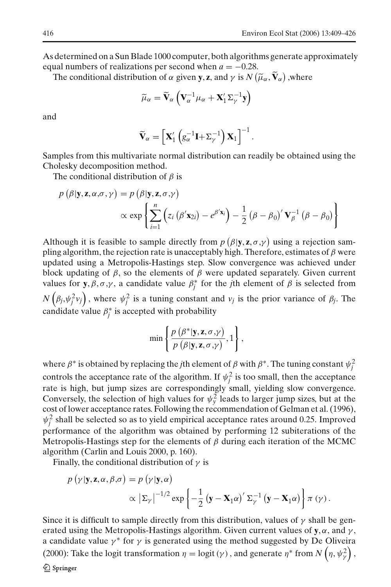As determined on a Sun Blade 1000 computer, both algorithms generate approximately equal numbers of realizations per second when  $a = -0.28$ .

The conditional distribution of  $\alpha$  given **y**, **z**, and  $\gamma$  is  $N(\widetilde{\mu}_{\alpha}, \widetilde{\mathbf{V}}_{\alpha})$  , where

$$
\widetilde{\mu}_{\alpha} = \widetilde{\mathbf{V}}_{\alpha} \left( \mathbf{V}_{\alpha}^{-1} \mu_{\alpha} + \mathbf{X}_{1}^{\prime} \Sigma_{\gamma}^{-1} \mathbf{y} \right)
$$

and

$$
\widetilde{\mathbf{V}}_{\alpha} = \left[ \mathbf{X}'_1 \left( g_{\alpha}^{-1} \mathbf{I} + \Sigma_{\gamma}^{-1} \right) \mathbf{X}_1 \right]^{-1}.
$$

Samples from this multivariate normal distribution can readily be obtained using the Cholesky decomposition method.

The conditional distribution of  $\beta$  is

$$
p(\beta | \mathbf{y}, \mathbf{z}, \alpha, \sigma, \gamma) = p(\beta | \mathbf{y}, \mathbf{z}, \sigma, \gamma)
$$
  
 
$$
\propto \exp \left\{ \sum_{i=1}^{n} \left( z_i (\beta' \mathbf{x}_{2i}) - e^{\beta' \mathbf{x}_i} \right) - \frac{1}{2} (\beta - \beta_0)' \mathbf{V}_{\beta}^{-1} (\beta - \beta_0) \right\}
$$

Although it is feasible to sample directly from  $p(\beta | \mathbf{y}, \mathbf{z}, \sigma, \gamma)$  using a rejection sampling algorithm, the rejection rate is unacceptably high. Therefore, estimates of  $\beta$  were updated using a Metropolis-Hastings step. Slow convergence was achieved under block updating of  $\beta$ , so the elements of  $\beta$  were updated separately. Given current values for **y**,  $\beta$ ,  $\sigma$ , $\gamma$ , a candidate value  $\beta_j^*$  for the *j*th element of  $\beta$  is selected from  $N(\beta_j, \psi_j^2 v_j)$ , where  $\psi_j^2$  is a tuning constant and  $v_j$  is the prior variance of  $\beta_j$ . The candidate value  $\beta_j^*$  is accepted with probability

$$
\min \left\{ \frac{p(\beta^* | \mathbf{y}, \mathbf{z}, \sigma, \gamma)}{p(\beta | \mathbf{y}, \mathbf{z}, \sigma, \gamma)}, 1 \right\},\
$$

where  $\beta^*$  is obtained by replacing the *j*th element of  $\beta$  with  $\beta^*$ . The tuning constant  $\psi_j^2$ controls the acceptance rate of the algorithm. If  $\psi_j^2$  is too small, then the acceptance rate is high, but jump sizes are correspondingly small, yielding slow convergence. Conversely, the selection of high values for  $\psi_y^2$  leads to larger jump sizes, but at the cost of lower acceptance rates. Following the recommendation of Gelman et al. (1996),  $\psi_j^2$  shall be selected so as to yield empirical acceptance rates around 0.25. Improved performance of the algorithm was obtained by performing 12 subiterations of the Metropolis-Hastings step for the elements of  $\beta$  during each iteration of the MCMC algorithm (Carlin and Louis 2000, p. 160).

Finally, the conditional distribution of  $\gamma$  is

$$
p(\gamma | \mathbf{y}, \mathbf{z}, \alpha, \beta, \sigma) = p(\gamma | \mathbf{y}, \alpha)
$$

$$
\propto |\Sigma_{\gamma}|^{-1/2} \exp \left\{-\frac{1}{2} (\mathbf{y} - \mathbf{X}_{1} \alpha)^{\prime} \Sigma_{\gamma}^{-1} (\mathbf{y} - \mathbf{X}_{1} \alpha) \right\} \pi (\gamma).
$$

Since it is difficult to sample directly from this distribution, values of  $\gamma$  shall be generated using the Metropolis-Hastings algorithm. Given current values of **y**,  $\alpha$ , and  $\gamma$ , a candidate value  $\gamma^*$  for  $\gamma$  is generated using the method suggested by De Oliveira (2000): Take the logit transformation  $\eta = \text{logit}(\gamma)$ , and generate  $\eta^*$  from  $N\left(\eta, \psi_\gamma^2\right)$ ,  $\mathcal{D}$  Springer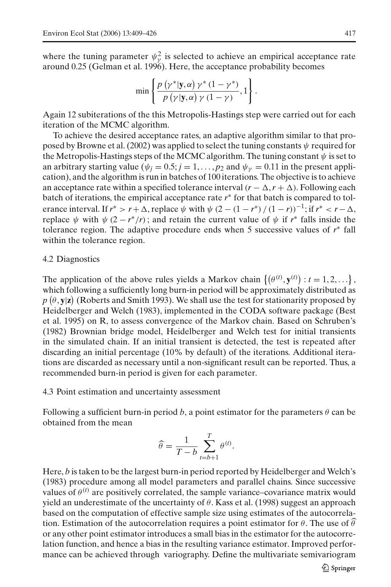where the tuning parameter  $\psi^2$  is selected to achieve an empirical acceptance rate around 0.25 (Gelman et al. 1996). Here, the acceptance probability becomes

$$
\min \left\{ \frac{p(\gamma^* | \mathbf{y}, \alpha) \gamma^* (1 - \gamma^*)}{p(\gamma | \mathbf{y}, \alpha) \gamma (1 - \gamma)}, 1 \right\}.
$$

Again 12 subiterations of the this Metropolis-Hastings step were carried out for each iteration of the MCMC algorithm.

To achieve the desired acceptance rates, an adaptive algorithm similar to that proposed by Browne et al. (2002) was applied to select the tuning constants  $\psi$  required for the Metropolis-Hastings steps of the MCMC algorithm. The tuning constant  $\psi$  is set to an arbitrary starting value ( $\psi_j = 0.5$ ;  $j = 1, \ldots, p_2$  and  $\psi_\nu = 0.11$  in the present application), and the algorithm is run in batches of 100 iterations. The objective is to achieve an acceptance rate within a specified tolerance interval  $(r - \Delta, r + \Delta)$ . Following each batch of iterations, the empirical acceptance rate *r*<sup>∗</sup> for that batch is compared to tolerance interval. If  $r^* > r + \Delta$ , replace  $\psi$  with  $\psi$  (2 – (1 – *r*<sup>\*</sup>) / (1 – *r*))<sup>-1</sup>; if  $r^* < r - \Delta$ , replace  $\psi$  with  $\psi$  (2 –  $r^*/r$ ); and retain the current value of  $\psi$  if  $r^*$  falls inside the tolerance region. The adaptive procedure ends when 5 successive values of *r*<sup>∗</sup> fall within the tolerance region.

#### 4.2 Diagnostics

The application of the above rules yields a Markov chain  $\{(\theta^{(t)}, \mathbf{y}^{(t)}): t = 1, 2, ...\}$ , which following a sufficiently long burn-in period will be approximately distributed as  $p$   $(\theta, \mathbf{y} | \mathbf{z})$  (Roberts and Smith 1993). We shall use the test for stationarity proposed by Heidelberger and Welch (1983), implemented in the CODA software package (Best et al. 1995) on R, to assess convergence of the Markov chain. Based on Schruben's (1982) Brownian bridge model, Heidelberger and Welch test for initial transients in the simulated chain. If an initial transient is detected, the test is repeated after discarding an initial percentage (10% by default) of the iterations. Additional iterations are discarded as necessary until a non-significant result can be reported. Thus, a recommended burn-in period is given for each parameter.

#### 4.3 Point estimation and uncertainty assessment

Following a sufficient burn-in period *b*, a point estimator for the parameters  $\theta$  can be obtained from the mean

$$
\widehat{\theta} = \frac{1}{T - b} \sum_{t=b+1}^{T} \theta^{(t)}.
$$

Here, *b* is taken to be the largest burn-in period reported by Heidelberger and Welch's (1983) procedure among all model parameters and parallel chains. Since successive values of  $\theta^{(t)}$  are positively correlated, the sample variance–covariance matrix would yield an underestimate of the uncertainty of  $\theta$ . Kass et al. (1998) suggest an approach based on the computation of effective sample size using estimates of the autocorrelation. Estimation of the autocorrelation requires a point estimator for  $\theta$ . The use of  $\hat{\theta}$ or any other point estimator introduces a small bias in the estimator for the autocorrelation function, and hence a bias in the resulting variance estimator. Improved performance can be achieved through variography. Define the multivariate semivariogram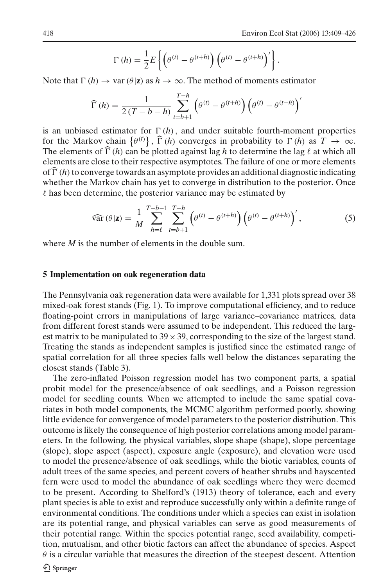$$
\Gamma(h) = \frac{1}{2} E \left\{ \left( \theta^{(t)} - \theta^{(t+h)} \right) \left( \theta^{(t)} - \theta^{(t+h)} \right)' \right\}.
$$

Note that  $\Gamma(h) \to \text{var}(\theta|\mathbf{z})$  as  $h \to \infty$ . The method of moments estimator

$$
\widehat{\Gamma}(h) = \frac{1}{2(T - b - h)} \sum_{t=b+1}^{T-h} (\theta^{(t)} - \theta^{(t+h)}) (\theta^{(t)} - \theta^{(t+h)})'
$$

is an unbiased estimator for  $\Gamma(h)$ , and under suitable fourth-moment properties for the Markov chain  $\{\theta^{(t)}\}$ ,  $\hat{\Gamma}(h)$  converges in probability to  $\Gamma(h)$  as  $T \to \infty$ . The elements of  $\widehat{\Gamma}(h)$  can be plotted against lag h to determine the lag  $\ell$  at which all elements are close to their respective asymptotes. The failure of one or more elements of  $\Gamma(h)$  to converge towards an asymptote provides an additional diagnostic indicating whether the Markov chain has yet to converge in distribution to the posterior. Once  $\ell$  has been determine, the posterior variance may be estimated by

$$
\widehat{\text{var}}(\theta|\mathbf{z}) = \frac{1}{M} \sum_{h=\ell}^{T-b-1} \sum_{t=b+1}^{T-h} \left( \theta^{(t)} - \theta^{(t+h)} \right) \left( \theta^{(t)} - \theta^{(t+h)} \right)', \tag{5}
$$

where *M* is the number of elements in the double sum.

#### **5 Implementation on oak regeneration data**

The Pennsylvania oak regeneration data were available for 1,331 plots spread over 38 mixed-oak forest stands (Fig. 1). To improve computational efficiency, and to reduce floating-point errors in manipulations of large variance–covariance matrices, data from different forest stands were assumed to be independent. This reduced the largest matrix to be manipulated to  $39 \times 39$ , corresponding to the size of the largest stand. Treating the stands as independent samples is justified since the estimated range of spatial correlation for all three species falls well below the distances separating the closest stands (Table 3).

The zero-inflated Poisson regression model has two component parts, a spatial probit model for the presence/absence of oak seedlings, and a Poisson regression model for seedling counts. When we attempted to include the same spatial covariates in both model components, the MCMC algorithm performed poorly, showing little evidence for convergence of model parameters to the posterior distribution. This outcome is likely the consequence of high posterior correlations among model parameters. In the following, the physical variables, slope shape (shape), slope percentage (slope), slope aspect (aspect), exposure angle (exposure), and elevation were used to model the presence/absence of oak seedlings, while the biotic variables, counts of adult trees of the same species, and percent covers of heather shrubs and hayscented fern were used to model the abundance of oak seedlings where they were deemed to be present. According to Shelford's (1913) theory of tolerance, each and every plant species is able to exist and reproduce successfully only within a definite range of environmental conditions. The conditions under which a species can exist in isolation are its potential range, and physical variables can serve as good measurements of their potential range. Within the species potential range, seed availability, competition, mutualism, and other biotic factors can affect the abundance of species. Aspect  $\theta$  is a circular variable that measures the direction of the steepest descent. Attention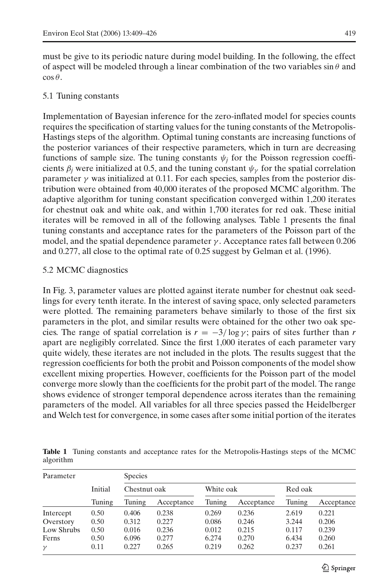must be give to its periodic nature during model building. In the following, the effect of aspect will be modeled through a linear combination of the two variables  $\sin \theta$  and  $\cos \theta$ .

## 5.1 Tuning constants

Implementation of Bayesian inference for the zero-inflated model for species counts requires the specification of starting values for the tuning constants of the Metropolis-Hastings steps of the algorithm. Optimal tuning constants are increasing functions of the posterior variances of their respective parameters, which in turn are decreasing functions of sample size. The tuning constants  $\psi_j$  for the Poisson regression coefficients  $\beta_i$  were initialized at 0.5, and the tuning constant  $\psi_{\gamma}$  for the spatial correlation parameter  $\gamma$  was initialized at 0.11. For each species, samples from the posterior distribution were obtained from 40,000 iterates of the proposed MCMC algorithm. The adaptive algorithm for tuning constant specification converged within 1,200 iterates for chestnut oak and white oak, and within 1,700 iterates for red oak. These initial iterates will be removed in all of the following analyses. Table 1 presents the final tuning constants and acceptance rates for the parameters of the Poisson part of the model, and the spatial dependence parameter  $\gamma$ . Acceptance rates fall between 0.206 and 0.277, all close to the optimal rate of 0.25 suggest by Gelman et al. (1996).

# 5.2 MCMC diagnostics

In Fig. 3, parameter values are plotted against iterate number for chestnut oak seedlings for every tenth iterate. In the interest of saving space, only selected parameters were plotted. The remaining parameters behave similarly to those of the first six parameters in the plot, and similar results were obtained for the other two oak species. The range of spatial correlation is  $r = -3/\log \gamma$ ; pairs of sites further than *r* apart are negligibly correlated. Since the first 1,000 iterates of each parameter vary quite widely, these iterates are not included in the plots. The results suggest that the regression coefficients for both the probit and Poisson components of the model show excellent mixing properties. However, coefficients for the Poisson part of the model converge more slowly than the coefficients for the probit part of the model. The range shows evidence of stronger temporal dependence across iterates than the remaining parameters of the model. All variables for all three species passed the Heidelberger and Welch test for convergence, in some cases after some initial portion of the iterates

**Table 1** Tuning constants and acceptance rates for the Metropolis-Hastings steps of the MCMC algorithm

| Parameter  |                   | <b>Species</b> |            |           |            |         |            |
|------------|-------------------|----------------|------------|-----------|------------|---------|------------|
|            | Initial<br>Tuning | Chestnut oak   |            | White oak |            | Red oak |            |
|            |                   | Tuning         | Acceptance | Tuning    | Acceptance | Tuning  | Acceptance |
| Intercept  | 0.50              | 0.406          | 0.238      | 0.269     | 0.236      | 2.619   | 0.221      |
| Overstory  | 0.50              | 0.312          | 0.227      | 0.086     | 0.246      | 3.244   | 0.206      |
| Low Shrubs | 0.50              | 0.016          | 0.236      | 0.012     | 0.215      | 0.117   | 0.239      |
| Ferns      | 0.50              | 6.096          | 0.277      | 6.274     | 0.270      | 6.434   | 0.260      |
| $\gamma$   | 0.11              | 0.227          | 0.265      | 0.219     | 0.262      | 0.237   | 0.261      |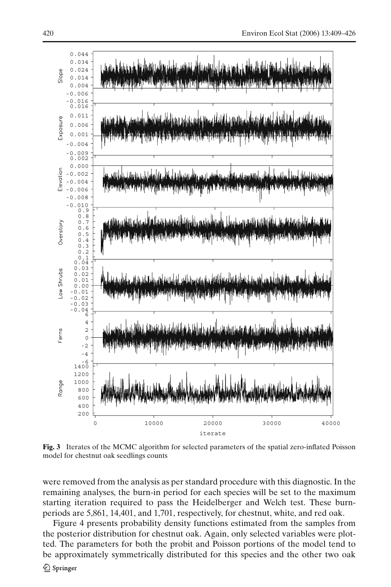

**Fig. 3** Iterates of the MCMC algorithm for selected parameters of the spatial zero-inflated Poisson model for chestnut oak seedlings counts

were removed from the analysis as per standard procedure with this diagnostic. In the remaining analyses, the burn-in period for each species will be set to the maximum starting iteration required to pass the Heidelberger and Welch test. These burnperiods are 5,861, 14,401, and 1,701, respectively, for chestnut, white, and red oak.

Figure 4 presents probability density functions estimated from the samples from the posterior distribution for chestnut oak. Again, only selected variables were plotted. The parameters for both the probit and Poisson portions of the model tend to be approximately symmetrically distributed for this species and the other two oak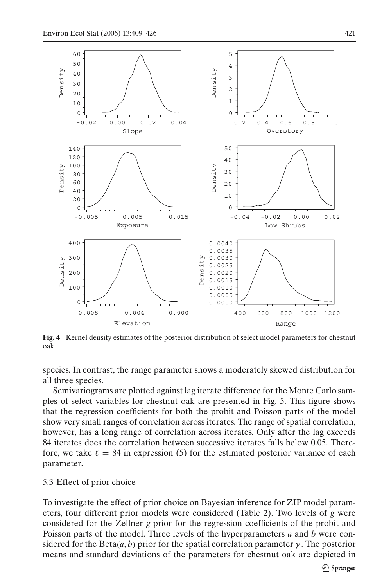

**Fig. 4** Kernel density estimates of the posterior distribution of select model parameters for chestnut oak

species. In contrast, the range parameter shows a moderately skewed distribution for all three species.

Semivariograms are plotted against lag iterate difference for the Monte Carlo samples of select variables for chestnut oak are presented in Fig. 5. This figure shows that the regression coefficients for both the probit and Poisson parts of the model show very small ranges of correlation across iterates. The range of spatial correlation, however, has a long range of correlation across iterates. Only after the lag exceeds 84 iterates does the correlation between successive iterates falls below 0.05. Therefore, we take  $\ell = 84$  in expression (5) for the estimated posterior variance of each parameter.

## 5.3 Effect of prior choice

To investigate the effect of prior choice on Bayesian inference for ZIP model parameters, four different prior models were considered (Table 2). Two levels of *g* were considered for the Zellner *g*-prior for the regression coefficients of the probit and Poisson parts of the model. Three levels of the hyperparameters *a* and *b* were considered for the Beta $(a, b)$  prior for the spatial correlation parameter  $\gamma$ . The posterior means and standard deviations of the parameters for chestnut oak are depicted in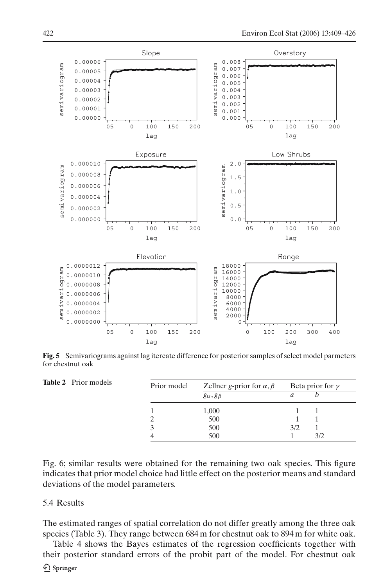

**Fig. 5** Semivariograms against lag itereate difference for posterior samples of select model parmeters for chestnut oak

|                         |                                                       | Beta prior for $\gamma$ |
|-------------------------|-------------------------------------------------------|-------------------------|
| $g_{\alpha}, g_{\beta}$ | а                                                     |                         |
| 1,000                   |                                                       |                         |
| 500                     |                                                       |                         |
| 500                     | 3/2                                                   |                         |
| 500                     |                                                       | 3/2                     |
|                         | Prior model<br>Zellner g-prior for $\alpha$ , $\beta$ |                         |

Fig. 6; similar results were obtained for the remaining two oak species. This figure indicates that prior model choice had little effect on the posterior means and standard deviations of the model parameters.

## 5.4 Results

The estimated ranges of spatial correlation do not differ greatly among the three oak species (Table 3). They range between 684 m for chestnut oak to 894 m for white oak.

Table 4 shows the Bayes estimates of the regression coefficients together with their posterior standard errors of the probit part of the model. For chestnut oak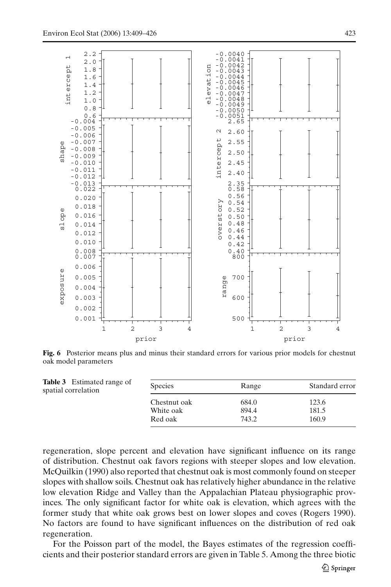

**Fig. 6** Posterior means plus and minus their standard errors for various prior models for chestnut oak model parameters

| <b>Table 3</b> Estimated range of<br>spatial correlation | <b>Species</b> | Range | Standard error |
|----------------------------------------------------------|----------------|-------|----------------|
|                                                          | Chestnut oak   | 684.0 | 123.6          |
|                                                          | White oak      | 894.4 | 181.5          |
|                                                          | Red oak        | 743.2 | 160.9          |

regeneration, slope percent and elevation have significant influence on its range of distribution. Chestnut oak favors regions with steeper slopes and low elevation. McQuilkin (1990) also reported that chestnut oak is most commonly found on steeper slopes with shallow soils. Chestnut oak has relatively higher abundance in the relative low elevation Ridge and Valley than the Appalachian Plateau physiographic provinces. The only significant factor for white oak is elevation, which agrees with the former study that white oak grows best on lower slopes and coves (Rogers 1990). No factors are found to have significant influences on the distribution of red oak regeneration.

For the Poisson part of the model, the Bayes estimates of the regression coefficients and their posterior standard errors are given in Table 5. Among the three biotic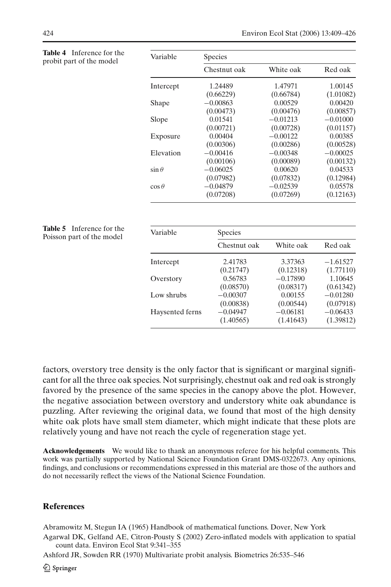| <b>Table 4</b> Inference for the<br>probit part of the model | Variable      | <b>Species</b> |            |            |  |
|--------------------------------------------------------------|---------------|----------------|------------|------------|--|
|                                                              |               | Chestnut oak   | White oak  | Red oak    |  |
|                                                              | Intercept     | 1.24489        | 1.47971    | 1.00145    |  |
|                                                              |               | (0.66229)      | (0.66784)  | (1.01082)  |  |
|                                                              | Shape         | $-0.00863$     | 0.00529    | 0.00420    |  |
|                                                              |               | (0.00473)      | (0.00476)  | (0.00857)  |  |
|                                                              | Slope         | 0.01541        | $-0.01213$ | $-0.01000$ |  |
|                                                              |               | (0.00721)      | (0.00728)  | (0.01157)  |  |
|                                                              | Exposure      | 0.00404        | $-0.00122$ | 0.00385    |  |
|                                                              |               | (0.00306)      | (0.00286)  | (0.00528)  |  |
|                                                              | Elevation     | $-0.00416$     | $-0.00348$ | $-0.00025$ |  |
|                                                              |               | (0.00106)      | (0.00089)  | (0.00132)  |  |
|                                                              | $\sin \theta$ | $-0.06025$     | 0.00620    | 0.04533    |  |
|                                                              |               | (0.07982)      | (0.07832)  | (0.12984)  |  |
|                                                              | $\cos \theta$ | $-0.04879$     | $-0.02539$ | 0.05578    |  |
|                                                              |               | (0.07208)      | (0.07269)  | (0.12163)  |  |
| <b>Table 5</b> Inference for the                             |               |                |            |            |  |
| Poisson part of the model                                    | Variable      | Species        |            |            |  |
|                                                              |               | Chestnut oak   | White oak  | Red oak    |  |
|                                                              | Intercept     | 2.41783        | 3.37363    | $-1.61527$ |  |
|                                                              |               | (0.21747)      | (0.12318)  | (1.77110)  |  |
|                                                              | Overstory     | 0.56783        | $-0.17890$ | 1.10645    |  |
|                                                              |               | (0.08570)      | (0.08317)  | (0.61342)  |  |
|                                                              | Low shrubs    | $-0.00307$     | 0.00155    | $-0.01280$ |  |
|                                                              |               | (0.00838)      | (0.00544)  | (0.07918)  |  |

factors, overstory tree density is the only factor that is significant or marginal significant for all the three oak species. Not surprisingly, chestnut oak and red oak is strongly favored by the presence of the same species in the canopy above the plot. However, the negative association between overstory and understory white oak abundance is puzzling. After reviewing the original data, we found that most of the high density white oak plots have small stem diameter, which might indicate that these plots are relatively young and have not reach the cycle of regeneration stage yet.

Haysented ferns −0.04947 −0.06181 −0.06433

(1.40565) (1.41643) (1.39812)

**Acknowledgements** We would like to thank an anonymous referee for his helpful comments. This work was partially supported by National Science Foundation Grant DMS-0322673. Any opinions, findings, and conclusions or recommendations expressed in this material are those of the authors and do not necessarily reflect the views of the National Science Foundation.

#### **References**

Abramowitz M, Stegun IA (1965) Handbook of mathematical functions. Dover, New York

Agarwal DK, Gelfand AE, Citron-Pousty S (2002) Zero-inflated models with application to spatial count data. Environ Ecol Stat 9:341–355

Ashford JR, Sowden RR (1970) Multivariate probit analysis. Biometrics 26:535–546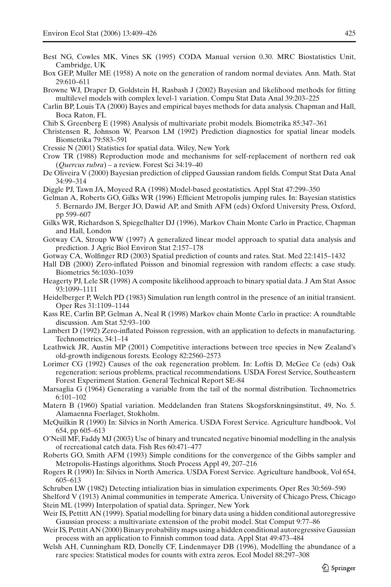- Best NG, Cowles MK, Vines SK (1995) CODA Manual version 0.30. MRC Biostatistics Unit, Cambridge, UK
- Box GEP, Muller ME (1958) A note on the generation of random normal deviates. Ann. Math. Stat 29:610–611
- Browne WJ, Draper D, Goldstein H, Rasbash J (2002) Bayesian and likelihood methods for fitting multilevel models with complex level-1 variation. Compu Stat Data Anal 39:203–225
- Carlin BP, Louis TA (2000) Bayes and empirical bayes methods for data analysis. Chapman and Hall, Boca Raton, FL
- Chib S, Greenberg E (1998) Analysis of multivariate probit models. Biometrika 85:347–361
- Christensen R, Johnson W, Pearson LM (1992) Prediction diagnostics for spatial linear models. Biometrika 79:583–591
- Cressie N (2001) Statistics for spatial data. Wiley, New York
- Crow TR (1988) Reproduction mode and mechanisms for self-replacement of northern red oak (*Quercus rubra*) – a review. Forest Sci 34:19–40
- De Oliveira V (2000) Bayesian prediction of clipped Gaussian random fields. Comput Stat Data Anal 34:99–314
- Diggle PJ, Tawn JA, Moyeed RA (1998) Model-based geostatistics. Appl Stat 47:299–350
- Gelman A, Roberts GO, Gilks WR (1996) Efficient Metropolis jumping rules. In: Bayesian statistics 5. Bernardo JM, Berger JO, Dawid AP, and Smith AFM (eds) Oxford University Press, Oxford, pp 599–607
- Gilks WR, Richardson S, Spiegelhalter DJ (1996), Markov Chain Monte Carlo in Practice, Chapman and Hall, London
- Gotway CA, Stroup WW (1997) A generalized linear model approach to spatial data analysis and prediction. J Agric Biol Environ Stat 2:157–178
- Gotway CA, Wolfinger RD (2003) Spatial prediction of counts and rates. Stat. Med 22:1415–1432
- Hall DB (2000) Zero-inflated Poisson and binomial regression with random effects: a case study. Biometrics 56:1030–1039
- Heagerty PJ, Lele SR (1998) A composite likelihood approach to binary spatial data. J Am Stat Assoc 93:1099–1111
- Heidelberger P, Welch PD (1983) Simulation run length control in the presence of an initial transient. Oper Res 31:1109–1144
- Kass RE, Carlin BP, Gelman A, Neal R (1998) Markov chain Monte Carlo in practice: A roundtable discussion. Am Stat 52:93–100
- Lambert D (1992) Zero-inflated Poisson regression, with an application to defects in manufacturing. Technometrics, 34:1–14
- Leathwick JR, Austin MP (2001) Competitive interactions between tree species in New Zealand's old-growth indigenous forests. Ecology 82:2560–2573
- Lorimer CG (1992) Causes of the oak regeneration problem. In: Loftis D, McGee Ce (eds) Oak regeneration: serious problems, practical recommendations. USDA Forest Service, Southeastern Forest Experiment Station. General Technical Report SE-84
- Marsaglia G (1964) Generating a variable from the tail of the normal distribution. Technometrics 6:101–102
- Matern B (1960) Spatial variation. Meddelanden fran Statens Skogsforskningsinstitut, 49, No. 5. Alamaenna Foerlaget, Stokholm.
- McQuilkin R (1990) In: Silvics in North America. USDA Forest Service. Agriculture handbook, Vol 654, pp 605–613
- O'Neill MF, Faddy MJ (2003) Use of binary and truncated negative binomial modelling in the analysis of recreational catch data. Fish Res 60:471–477
- Roberts GO, Smith AFM (1993) Simple conditions for the convergence of the Gibbs sampler and Metropolis-Hastings algorithms. Stoch Process Appl 49, 207–216
- Rogers R (1990) In: Silvics in North America. USDA Forest Service. Agriculture handbook, Vol 654, 605–613
- Schruben LW (1982) Detecting intialization bias in simulation experiments. Oper Res 30:569–590

Shelford V (1913) Animal communities in temperate America. University of Chicago Press, Chicago Stein ML (1999) Interpolation of spatial data. Springer, New York

- Weir IS, Pettitt AN (1999). Spatial modelling for binary data using a hidden conditional autoregressive Gaussian process: a multivariate extension of the probit model. Stat Comput 9:77–86
- Weir IS, Pettitt AN (2000) Binary probability maps using a hidden conditional autoregressive Gaussian process with an application to Finnish common toad data. Appl Stat 49:473–484
- Welsh AH, Cunningham RD, Donelly CF, Lindenmayer DB (1996), Modelling the abundance of a rare species: Statistical modes for counts with extra zeros. Ecol Model 88:297–308